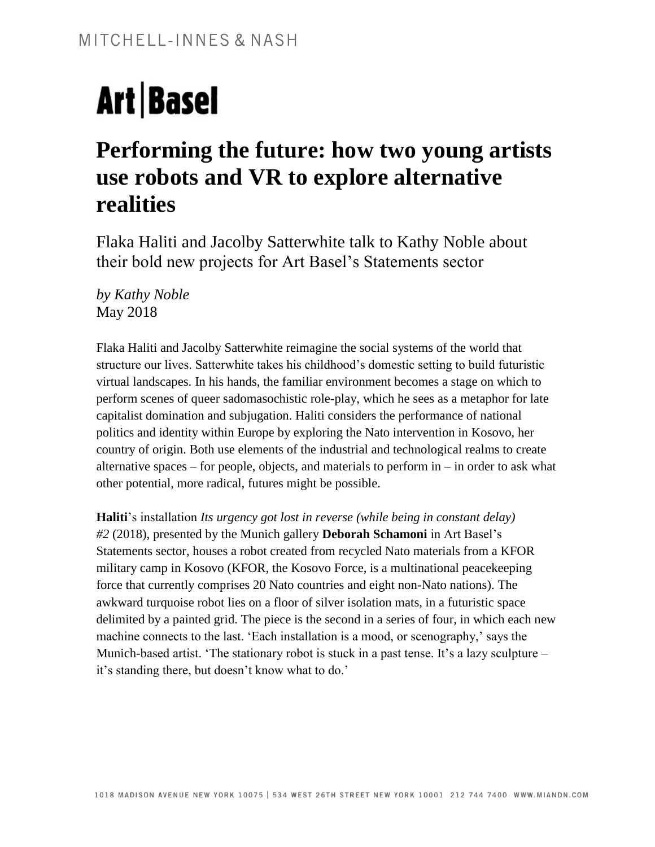# **Art Basel**

# **Performing the future: how two young artists use robots and VR to explore alternative realities**

Flaka Haliti and Jacolby Satterwhite talk to Kathy Noble about their bold new projects for Art Basel's Statements sector

*by Kathy Noble* May 2018

Flaka Haliti and Jacolby Satterwhite reimagine the social systems of the world that structure our lives. Satterwhite takes his childhood's domestic setting to build futuristic virtual landscapes. In his hands, the familiar environment becomes a stage on which to perform scenes of queer sadomasochistic role-play, which he sees as a metaphor for late capitalist domination and subjugation. Haliti considers the performance of national politics and identity within Europe by exploring the Nato intervention in Kosovo, her country of origin. Both use elements of the industrial and technological realms to create alternative spaces – for people, objects, and materials to perform in – in order to ask what other potential, more radical, futures might be possible.

**Haliti**'s installation *Its urgency got lost in reverse (while being in constant delay) #2* (2018), presented by the Munich gallery **Deborah Schamoni** in Art Basel's Statements sector, houses a robot created from recycled Nato materials from a KFOR military camp in Kosovo (KFOR, the Kosovo Force, is a multinational peacekeeping force that currently comprises 20 Nato countries and eight non-Nato nations). The awkward turquoise robot lies on a floor of silver isolation mats, in a futuristic space delimited by a painted grid. The piece is the second in a series of four, in which each new machine connects to the last. 'Each installation is a mood, or scenography,' says the Munich-based artist. 'The stationary robot is stuck in a past tense. It's a lazy sculpture – it's standing there, but doesn't know what to do.'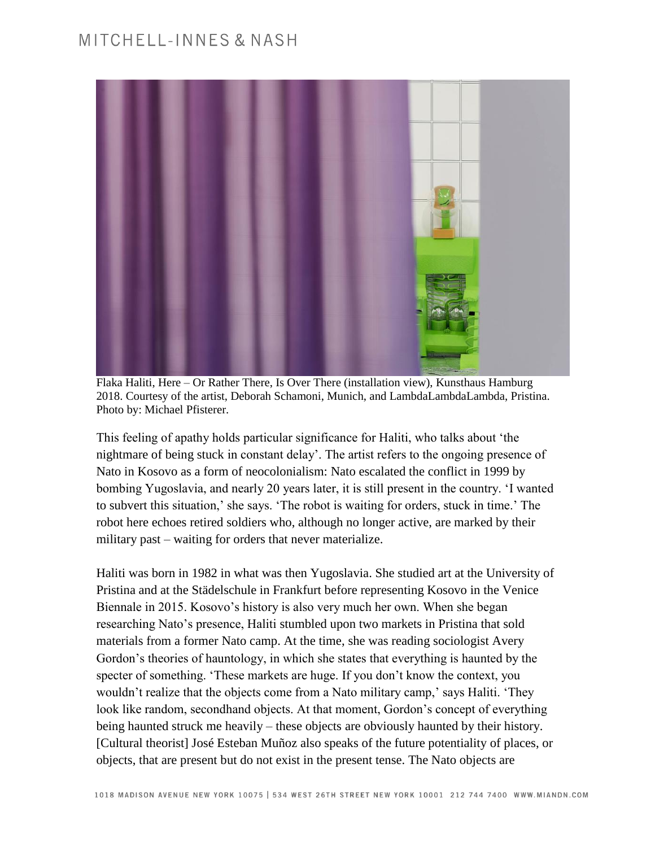

Flaka Haliti, Here – Or Rather There, Is Over There (installation view), Kunsthaus Hamburg 2018. Courtesy of the artist, Deborah Schamoni, Munich, and LambdaLambdaLambda, Pristina. Photo by: Michael Pfisterer.

This feeling of apathy holds particular significance for Haliti, who talks about 'the nightmare of being stuck in constant delay'. The artist refers to the ongoing presence of Nato in Kosovo as a form of neocolonialism: Nato escalated the conflict in 1999 by bombing Yugoslavia, and nearly 20 years later, it is still present in the country. 'I wanted to subvert this situation,' she says. 'The robot is waiting for orders, stuck in time.' The robot here echoes retired soldiers who, although no longer active, are marked by their military past – waiting for orders that never materialize.

Haliti was born in 1982 in what was then Yugoslavia. She studied art at the University of Pristina and at the Städelschule in Frankfurt before representing Kosovo in the Venice Biennale in 2015. Kosovo's history is also very much her own. When she began researching Nato's presence, Haliti stumbled upon two markets in Pristina that sold materials from a former Nato camp. At the time, she was reading sociologist Avery Gordon's theories of hauntology, in which she states that everything is haunted by the specter of something. 'These markets are huge. If you don't know the context, you wouldn't realize that the objects come from a Nato military camp,' says Haliti. 'They look like random, secondhand objects. At that moment, Gordon's concept of everything being haunted struck me heavily – these objects are obviously haunted by their history. [Cultural theorist] José Esteban Muñoz also speaks of the future potentiality of places, or objects, that are present but do not exist in the present tense. The Nato objects are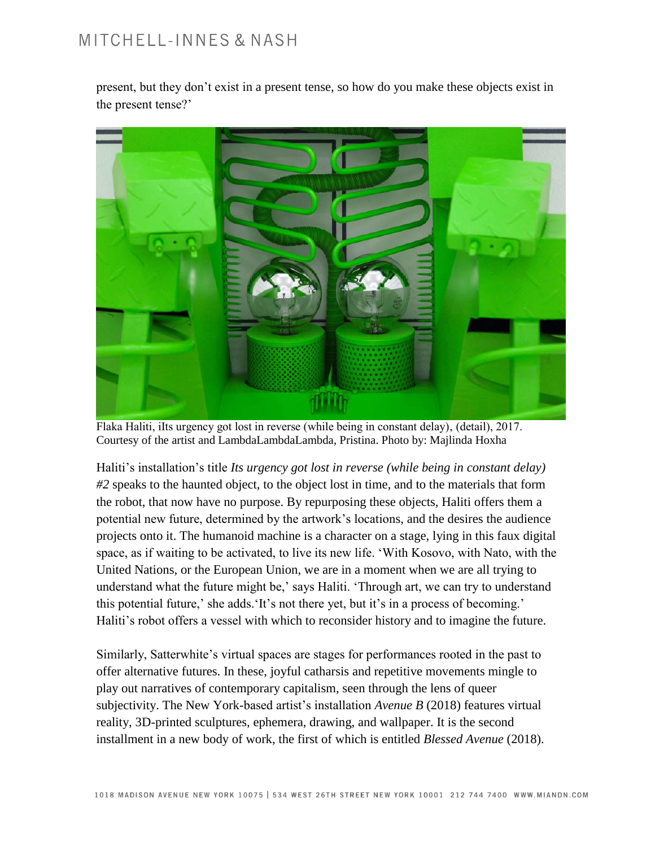## MITCHELL-INNES & NASH

present, but they don't exist in a present tense, so how do you make these objects exist in the present tense?'



Flaka Haliti, iIts urgency got lost in reverse (while being in constant delay), (detail), 2017. Courtesy of the artist and LambdaLambdaLambda, Pristina. Photo by: Majlinda Hoxha

Haliti's installation's title *Its urgency got lost in reverse (while being in constant delay) #2* speaks to the haunted object, to the object lost in time, and to the materials that form the robot, that now have no purpose. By repurposing these objects, Haliti offers them a potential new future, determined by the artwork's locations, and the desires the audience projects onto it. The humanoid machine is a character on a stage, lying in this faux digital space, as if waiting to be activated, to live its new life. 'With Kosovo, with Nato, with the United Nations, or the European Union, we are in a moment when we are all trying to understand what the future might be,' says Haliti. 'Through art, we can try to understand this potential future,' she adds.'It's not there yet, but it's in a process of becoming.' Haliti's robot offers a vessel with which to reconsider history and to imagine the future.

Similarly, Satterwhite's virtual spaces are stages for performances rooted in the past to offer alternative futures. In these, joyful catharsis and repetitive movements mingle to play out narratives of contemporary capitalism, seen through the lens of queer subjectivity. The New York-based artist's installation *Avenue B* (2018) features virtual reality, 3D-printed sculptures, ephemera, drawing, and wallpaper. It is the second installment in a new body of work, the first of which is entitled *Blessed Avenue* (2018).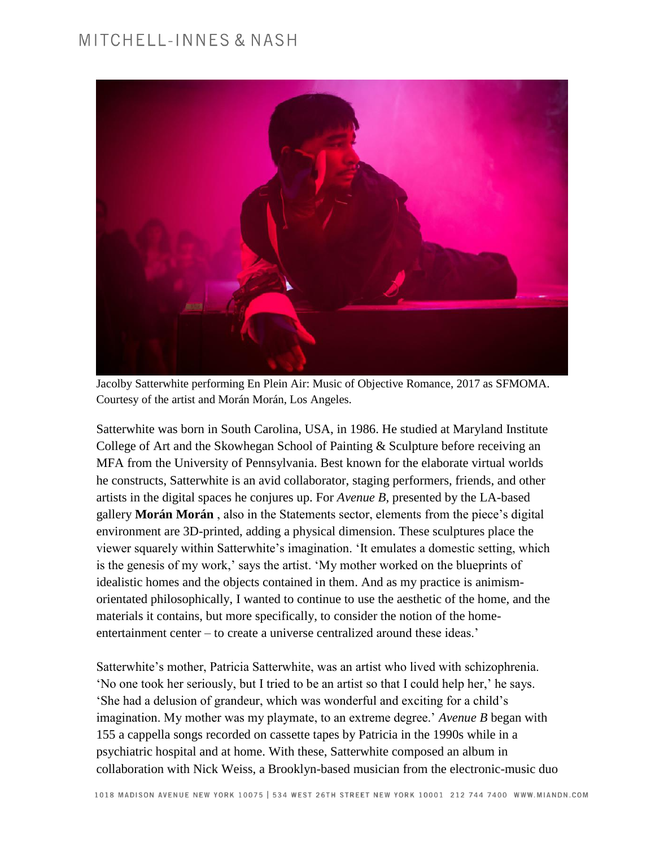### MITCHELL-INNES & NASH



Jacolby Satterwhite performing En Plein Air: Music of Objective Romance, 2017 as SFMOMA. Courtesy of the artist and Morán Morán, Los Angeles.

Satterwhite was born in South Carolina, USA, in 1986. He studied at Maryland Institute College of Art and the Skowhegan School of Painting & Sculpture before receiving an MFA from the University of Pennsylvania. Best known for the elaborate virtual worlds he constructs, Satterwhite is an avid collaborator, staging performers, friends, and other artists in the digital spaces he conjures up. For *Avenue B*, presented by the LA-based gallery **Morán Morán** , also in the Statements sector, elements from the piece's digital environment are 3D-printed, adding a physical dimension. These sculptures place the viewer squarely within Satterwhite's imagination. 'It emulates a domestic setting, which is the genesis of my work,' says the artist. 'My mother worked on the blueprints of idealistic homes and the objects contained in them. And as my practice is animismorientated philosophically, I wanted to continue to use the aesthetic of the home, and the materials it contains, but more specifically, to consider the notion of the homeentertainment center – to create a universe centralized around these ideas.'

Satterwhite's mother, Patricia Satterwhite, was an artist who lived with schizophrenia. 'No one took her seriously, but I tried to be an artist so that I could help her,' he says. 'She had a delusion of grandeur, which was wonderful and exciting for a child's imagination. My mother was my playmate, to an extreme degree.' *Avenue B* began with 155 a cappella songs recorded on cassette tapes by Patricia in the 1990s while in a psychiatric hospital and at home. With these, Satterwhite composed an album in collaboration with Nick Weiss, a Brooklyn-based musician from the electronic-music duo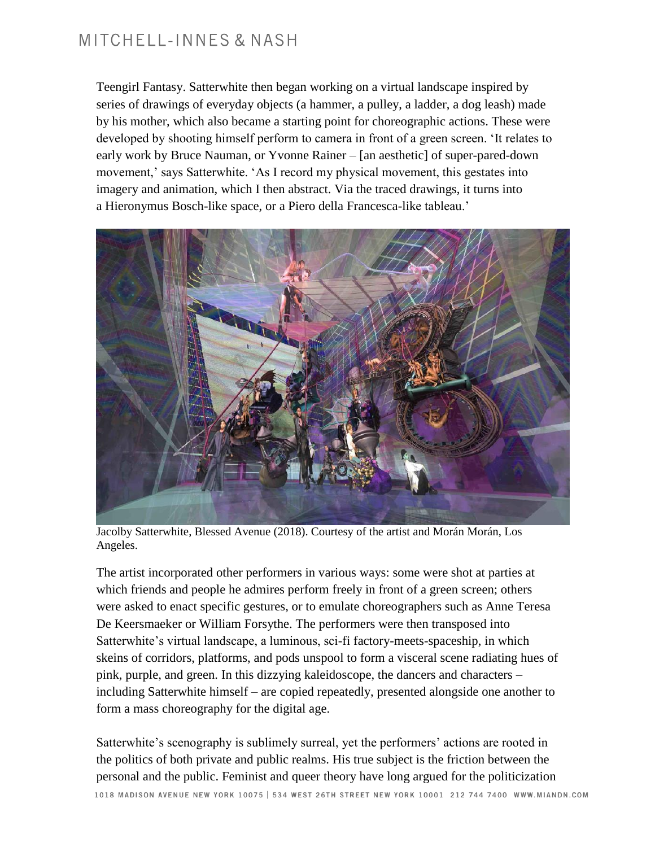### MITCHELL-INNES & NASH

Teengirl Fantasy. Satterwhite then began working on a virtual landscape inspired by series of drawings of everyday objects (a hammer, a pulley, a ladder, a dog leash) made by his mother, which also became a starting point for choreographic actions. These were developed by shooting himself perform to camera in front of a green screen. 'It relates to early work by Bruce Nauman, or Yvonne Rainer – [an aesthetic] of super-pared-down movement,' says Satterwhite. 'As I record my physical movement, this gestates into imagery and animation, which I then abstract. Via the traced drawings, it turns into a Hieronymus Bosch-like space, or a Piero della Francesca-like tableau.'



Jacolby Satterwhite, Blessed Avenue (2018). Courtesy of the artist and Morán Morán, Los Angeles.

The artist incorporated other performers in various ways: some were shot at parties at which friends and people he admires perform freely in front of a green screen; others were asked to enact specific gestures, or to emulate choreographers such as Anne Teresa De Keersmaeker or William Forsythe. The performers were then transposed into Satterwhite's virtual landscape, a luminous, sci-fi factory-meets-spaceship, in which skeins of corridors, platforms, and pods unspool to form a visceral scene radiating hues of pink, purple, and green. In this dizzying kaleidoscope, the dancers and characters – including Satterwhite himself – are copied repeatedly, presented alongside one another to form a mass choreography for the digital age.

Satterwhite's scenography is sublimely surreal, yet the performers' actions are rooted in the politics of both private and public realms. His true subject is the friction between the personal and the public. Feminist and queer theory have long argued for the politicization 1018 MADISON AVENUE NEW YORK 10075 | 534 WEST 26TH STREET NEW YORK 10001 212 744 7400 WWW.MIANDN.COM